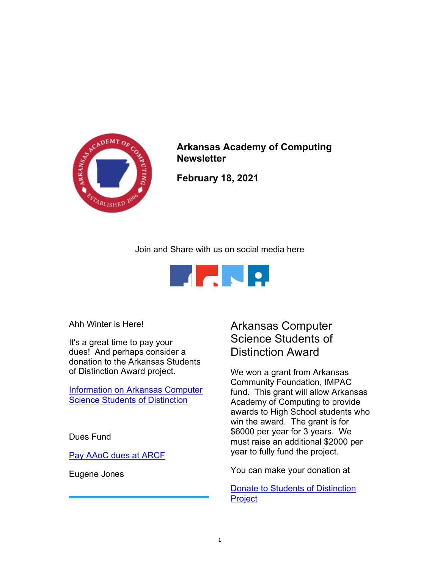

Arkansas Academy of Computing **Newsletter** 

February 18, 2021

Join and Share with us on social media here



Ahh Winter is Here!

It's a great time to pay your dues! And perhaps consider a donation to the Arkansas Students of Distinction Award project.

Information on Arkansas Computer **Science Students of Distinction** 

Dues Fund

Pay AAoC dues at ARCF

Eugene Jones

# Arkansas Computer Science Students of Distinction Award

We won a grant from Arkansas Community Foundation, IMPAC fund. This grant will allow Arkansas Academy of Computing to provide awards to High School students who win the award. The grant is for \$6000 per year for 3 years. We must raise an additional \$2000 per year to fully fund the project.

You can make your donation at

Donate to Students of Distinction **Project**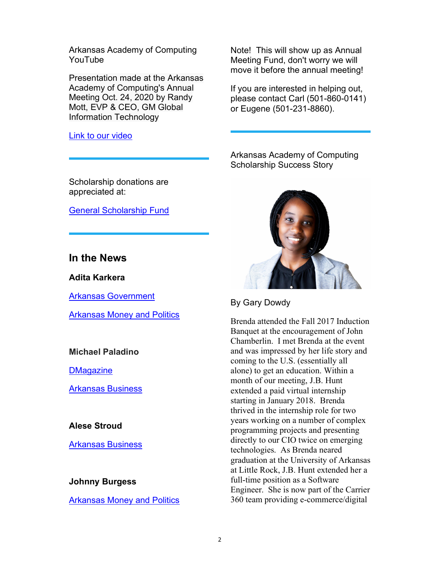Arkansas Academy of Computing YouTube

Presentation made at the Arkansas Academy of Computing's Annual Meeting Oct. 24, 2020 by Randy Mott, EVP & CEO, GM Global Information Technology

Link to our video

Scholarship donations are appreciated at:

General Scholarship Fund

# In the News

Adita Karkera

Arkansas Government

Arkansas Money and Politics

## Michael Paladino

**DMagazine** 

Arkansas Business

### Alese Stroud

Arkansas Business

#### Johnny Burgess

Arkansas Money and Politics

Note! This will show up as Annual Meeting Fund, don't worry we will move it before the annual meeting!

If you are interested in helping out, please contact Carl (501-860-0141) or Eugene (501-231-8860).

Arkansas Academy of Computing Scholarship Success Story



By Gary Dowdy

Brenda attended the Fall 2017 Induction Banquet at the encouragement of John Chamberlin. I met Brenda at the event and was impressed by her life story and coming to the U.S. (essentially all alone) to get an education. Within a month of our meeting, J.B. Hunt extended a paid virtual internship starting in January 2018. Brenda thrived in the internship role for two years working on a number of complex programming projects and presenting directly to our CIO twice on emerging technologies. As Brenda neared graduation at the University of Arkansas at Little Rock, J.B. Hunt extended her a full-time position as a Software Engineer. She is now part of the Carrier 360 team providing e-commerce/digital